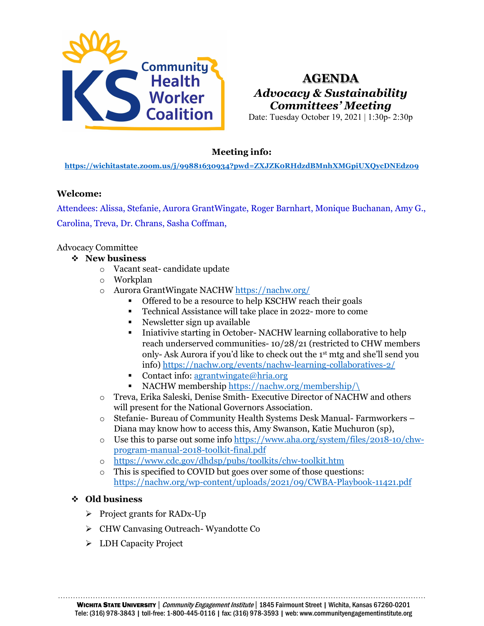

# **AGENDA** *Advocacy & Sustainability Committees' Meeting*

Date: Tuesday October 19, 2021 | 1:30p- 2:30p

# **Meeting info:**

**<https://wichitastate.zoom.us/j/99881630934?pwd=ZXJZK0RHdzdBMnhXMGpiUXQycDNEdz09>**

#### **Welcome:**

Attendees: Alissa, Stefanie, Aurora GrantWingate, Roger Barnhart, Monique Buchanan, Amy G., Carolina, Treva, Dr. Chrans, Sasha Coffman,

Advocacy Committee

- **New business**
	- o Vacant seat- candidate update
	- o Workplan
	- o Aurora GrantWingate NACHW<https://nachw.org/>
		- Offered to be a resource to help KSCHW reach their goals
		- Technical Assistance will take place in 2022- more to come
		- Newsletter sign up available
		- Iniativive starting in October- NACHW learning collaborative to help reach underserved communities- 10/28/21 (restricted to CHW members only- Ask Aurora if you'd like to check out the 1st mtg and she'll send you info)<https://nachw.org/events/nachw-learning-collaboratives-2/>
		- Contact info:  $a$ grantwingate@hria.org
		- NACHW membership [https://nachw.org/membership/\](https://nachw.org/membership/)
	- o Treva, Erika Saleski, Denise Smith- Executive Director of NACHW and others will present for the National Governors Association.
	- o Stefanie- Bureau of Community Health Systems Desk Manual- Farmworkers Diana may know how to access this, Amy Swanson, Katie Muchuron (sp),
	- o Use this to parse out some info [https://www.aha.org/system/files/2018-10/chw](https://www.aha.org/system/files/2018-10/chw-program-manual-2018-toolkit-final.pdf)[program-manual-2018-toolkit-final.pdf](https://www.aha.org/system/files/2018-10/chw-program-manual-2018-toolkit-final.pdf)
	- o <https://www.cdc.gov/dhdsp/pubs/toolkits/chw-toolkit.htm>
	- o This is specified to COVID but goes over some of those questions: <https://nachw.org/wp-content/uploads/2021/09/CWBA-Playbook-11421.pdf>

#### **Old business**

- $\triangleright$  Project grants for RADx-Up
- > CHW Canvasing Outreach- Wyandotte Co
- > LDH Capacity Project

………………………………………………………………………………………………………………………………… WICHITA STATE UNIVERSITY | Community Engagement Institute | 1845 Fairmount Street | Wichita, Kansas 67260-0201 Tele: (316) 978-3843 | toll-free: 1-800-445-0116 | fax: (316) 978-3593 | web: www.communityengagementinstitute.org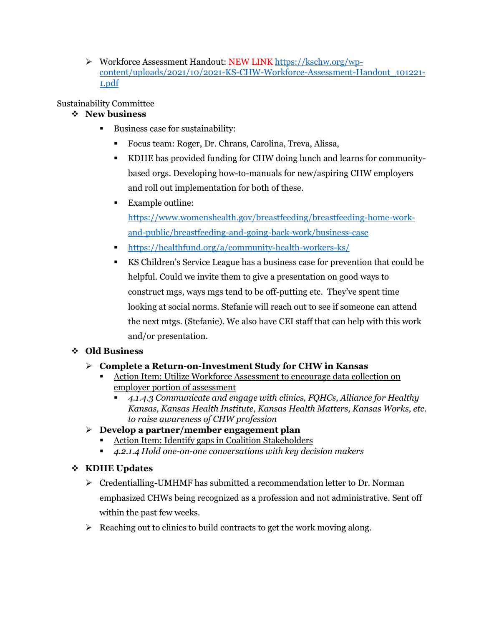Workforce Assessment Handout: NEW LINK [https://kschw.org/wp](https://kschw.org/wp-content/uploads/2021/10/2021-KS-CHW-Workforce-Assessment-Handout_101221-1.pdf)[content/uploads/2021/10/2021-KS-CHW-Workforce-Assessment-Handout\\_101221-](https://kschw.org/wp-content/uploads/2021/10/2021-KS-CHW-Workforce-Assessment-Handout_101221-1.pdf) [1.pdf](https://kschw.org/wp-content/uploads/2021/10/2021-KS-CHW-Workforce-Assessment-Handout_101221-1.pdf)

#### Sustainability Committee

#### **New business**

- Business case for sustainability:
	- Focus team: Roger, Dr. Chrans, Carolina, Treva, Alissa,
	- KDHE has provided funding for CHW doing lunch and learns for communitybased orgs. Developing how-to-manuals for new/aspiring CHW employers and roll out implementation for both of these.
	- Example outline:

[https://www.womenshealth.gov/breastfeeding/breastfeeding-home-work](https://www.womenshealth.gov/breastfeeding/breastfeeding-home-work-and-public/breastfeeding-and-going-back-work/business-case)[and-public/breastfeeding-and-going-back-work/business-case](https://www.womenshealth.gov/breastfeeding/breastfeeding-home-work-and-public/breastfeeding-and-going-back-work/business-case)

- <https://healthfund.org/a/community-health-workers-ks/>
- KS Children's Service League has a business case for prevention that could be helpful. Could we invite them to give a presentation on good ways to construct mgs, ways mgs tend to be off-putting etc. They've spent time looking at social norms. Stefanie will reach out to see if someone can attend the next mtgs. (Stefanie). We also have CEI staff that can help with this work and/or presentation.

## **Old Business**

## **Complete a Return-on-Investment Study for CHW in Kansas**

- Action Item: Utilize Workforce Assessment to encourage data collection on employer portion of assessment
	- *4.1.4.3 Communicate and engage with clinics, FQHCs, Alliance for Healthy Kansas, Kansas Health Institute, Kansas Health Matters, Kansas Works, etc. to raise awareness of CHW profession*

## **Develop a partner/member engagement plan**

- Action Item: Identify gaps in Coalition Stakeholders
- *4.2.1.4 Hold one-on-one conversations with key decision makers*

## **KDHE Updates**

- $\triangleright$  Credentialling-UMHMF has submitted a recommendation letter to Dr. Norman emphasized CHWs being recognized as a profession and not administrative. Sent off within the past few weeks.
- $\triangleright$  Reaching out to clinics to build contracts to get the work moving along.